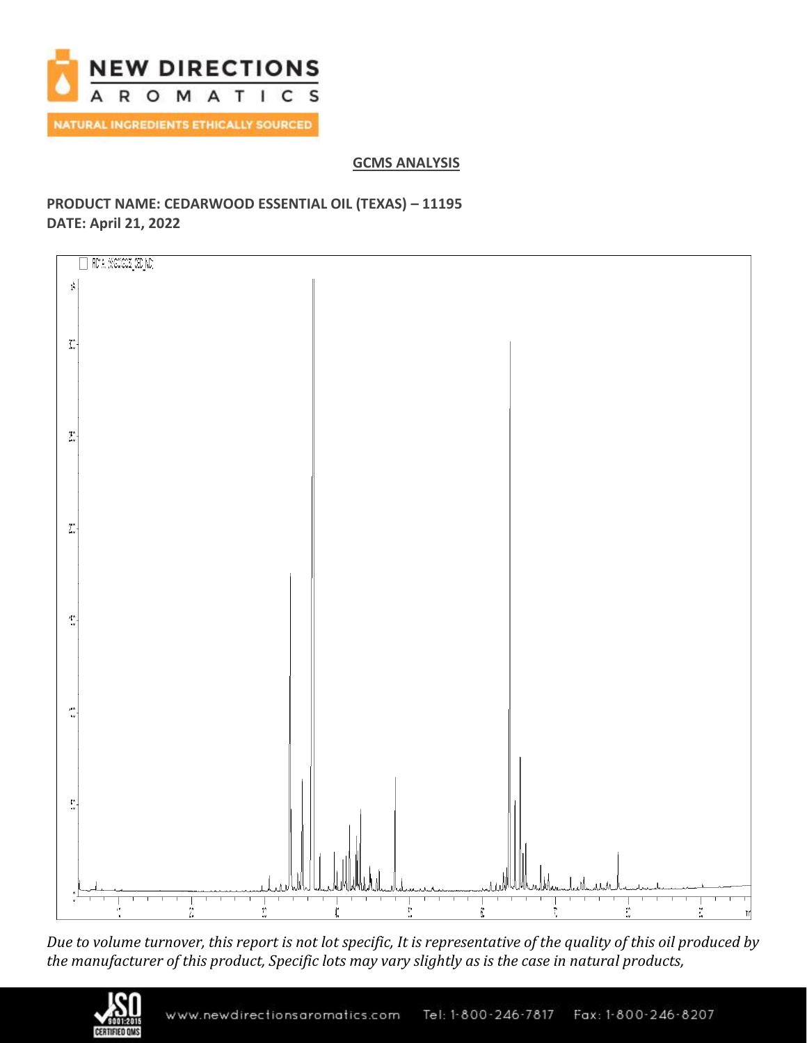

**GCMS ANALYSIS**

# **PRODUCT NAME: CEDARWOOD ESSENTIAL OIL (TEXAS) – 11195 DATE: April 21, 2022**



*Due to volume turnover, this report is not lot specific, It is representative of the quality of this oil produced by the manufacturer of this product, Specific lots may vary slightly as is the case in natural products,*

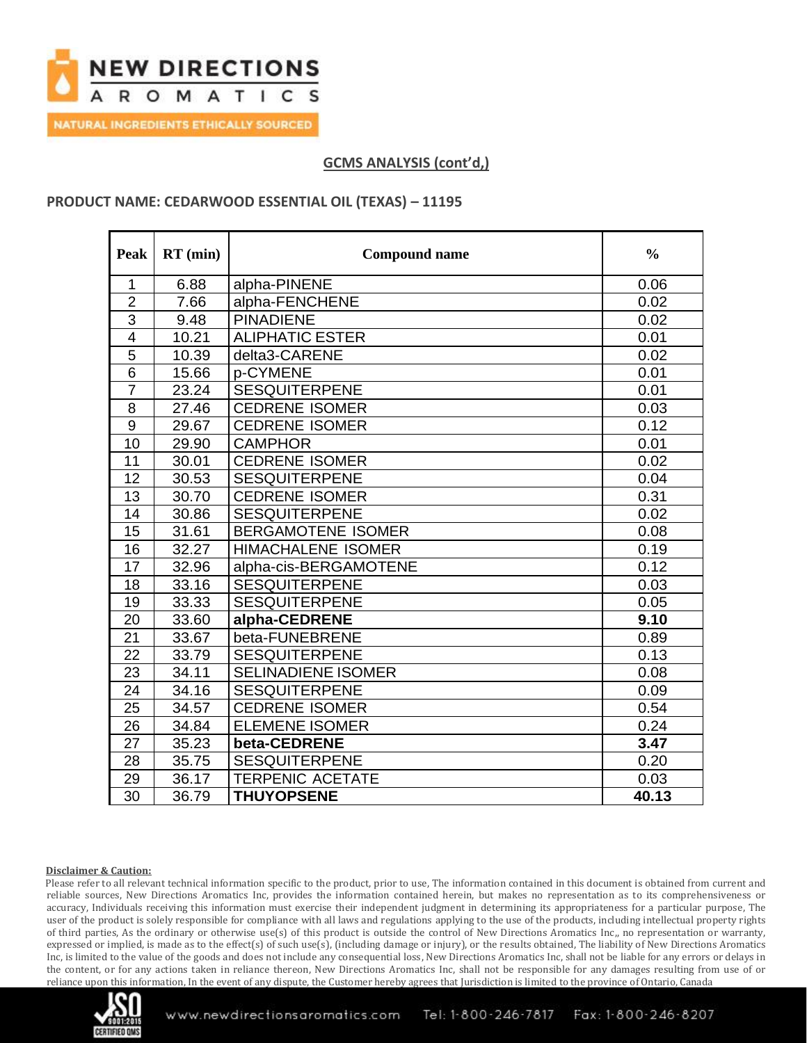

## **GCMS ANALYSIS (cont'd,)**

### **PRODUCT NAME: CEDARWOOD ESSENTIAL OIL (TEXAS) – 11195**

| <b>Peak</b>    | $RT$ (min) | <b>Compound name</b>      | $\frac{0}{0}$ |
|----------------|------------|---------------------------|---------------|
| 1              | 6.88       | alpha-PINENE              | 0.06          |
| $\overline{2}$ | 7.66       | alpha-FENCHENE            | 0.02          |
| $\overline{3}$ | 9.48       | <b>PINADIENE</b>          | 0.02          |
| 4              | 10.21      | <b>ALIPHATIC ESTER</b>    | 0.01          |
| $\overline{5}$ | 10.39      | delta3-CARENE             | 0.02          |
| $\overline{6}$ | 15.66      | p-CYMENE                  | 0.01          |
| $\overline{7}$ | 23.24      | <b>SESQUITERPENE</b>      | 0.01          |
| 8              | 27.46      | <b>CEDRENE ISOMER</b>     | 0.03          |
| $\overline{9}$ | 29.67      | <b>CEDRENE ISOMER</b>     | 0.12          |
| 10             | 29.90      | <b>CAMPHOR</b>            | 0.01          |
| 11             | 30.01      | <b>CEDRENE ISOMER</b>     | 0.02          |
| 12             | 30.53      | <b>SESQUITERPENE</b>      | 0.04          |
| 13             | 30.70      | <b>CEDRENE ISOMER</b>     | 0.31          |
| 14             | 30.86      | <b>SESQUITERPENE</b>      | 0.02          |
| 15             | 31.61      | <b>BERGAMOTENE ISOMER</b> | 0.08          |
| 16             | 32.27      | <b>HIMACHALENE ISOMER</b> | 0.19          |
| 17             | 32.96      | alpha-cis-BERGAMOTENE     | 0.12          |
| 18             | 33.16      | <b>SESQUITERPENE</b>      | 0.03          |
| 19             | 33.33      | <b>SESQUITERPENE</b>      | 0.05          |
| 20             | 33.60      | alpha-CEDRENE             | 9.10          |
| 21             | 33.67      | beta-FUNEBRENE            | 0.89          |
| 22             | 33.79      | <b>SESQUITERPENE</b>      | 0.13          |
| 23             | 34.11      | <b>SELINADIENE ISOMER</b> | 0.08          |
| 24             | 34.16      | <b>SESQUITERPENE</b>      | 0.09          |
| 25             | 34.57      | <b>CEDRENE ISOMER</b>     | 0.54          |
| 26             | 34.84      | <b>ELEMENE ISOMER</b>     | 0.24          |
| 27             | 35.23      | beta-CEDRENE              | 3.47          |
| 28             | 35.75      | <b>SESQUITERPENE</b>      | 0.20          |
| 29             | 36.17      | <b>TERPENIC ACETATE</b>   | 0.03          |
| 30             | 36.79      | <b>THUYOPSENE</b>         | 40.13         |

#### **Disclaimer & Caution:**

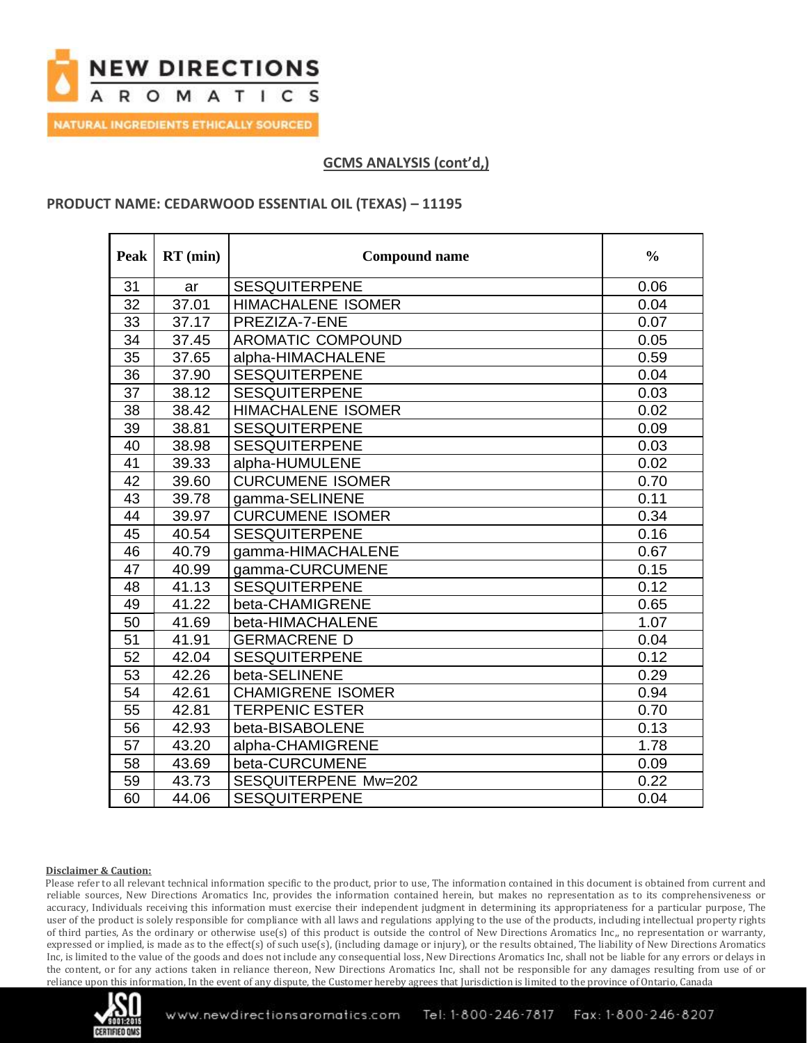

## **GCMS ANALYSIS (cont'd,)**

## **PRODUCT NAME: CEDARWOOD ESSENTIAL OIL (TEXAS) – 11195**

| Peak            | $RT$ (min) | <b>Compound name</b>      | $\frac{0}{0}$ |
|-----------------|------------|---------------------------|---------------|
| 31              | ar         | <b>SESQUITERPENE</b>      | 0.06          |
| 32              | 37.01      | <b>HIMACHALENE ISOMER</b> | 0.04          |
| 33              | 37.17      | PREZIZA-7-ENE             | 0.07          |
| $\overline{34}$ | 37.45      | AROMATIC COMPOUND         | 0.05          |
| 35              | 37.65      | alpha-HIMACHALENE         | 0.59          |
| 36              | 37.90      | <b>SESQUITERPENE</b>      | 0.04          |
| 37              | 38.12      | <b>SESQUITERPENE</b>      | 0.03          |
| 38              | 38.42      | <b>HIMACHALENE ISOMER</b> | 0.02          |
| 39              | 38.81      | <b>SESQUITERPENE</b>      | 0.09          |
| 40              | 38.98      | <b>SESQUITERPENE</b>      | 0.03          |
| 41              | 39.33      | alpha-HUMULENE            | 0.02          |
| $\overline{42}$ | 39.60      | <b>CURCUMENE ISOMER</b>   | 0.70          |
| 43              | 39.78      | gamma-SELINENE            | 0.11          |
| 44              | 39.97      | <b>CURCUMENE ISOMER</b>   | 0.34          |
| 45              | 40.54      | <b>SESQUITERPENE</b>      | 0.16          |
| 46              | 40.79      | gamma-HIMACHALENE         | 0.67          |
| 47              | 40.99      | gamma-CURCUMENE           | 0.15          |
| 48              | 41.13      | <b>SESQUITERPENE</b>      | 0.12          |
| 49              | 41.22      | beta-CHAMIGRENE           | 0.65          |
| 50              | 41.69      | beta-HIMACHALENE          | 1.07          |
| 51              | 41.91      | <b>GERMACRENE D</b>       | 0.04          |
| 52              | 42.04      | <b>SESQUITERPENE</b>      | 0.12          |
| 53              | 42.26      | beta-SELINENE             | 0.29          |
| 54              | 42.61      | <b>CHAMIGRENE ISOMER</b>  | 0.94          |
| 55              | 42.81      | <b>TERPENIC ESTER</b>     | 0.70          |
| 56              | 42.93      | beta-BISABOLENE           | 0.13          |
| 57              | 43.20      | alpha-CHAMIGRENE          | 1.78          |
| 58              | 43.69      | beta-CURCUMENE            | 0.09          |
| 59              | 43.73      | SESQUITERPENE Mw=202      | 0.22          |
| 60              | 44.06      | <b>SESQUITERPENE</b>      | 0.04          |

#### **Disclaimer & Caution:**

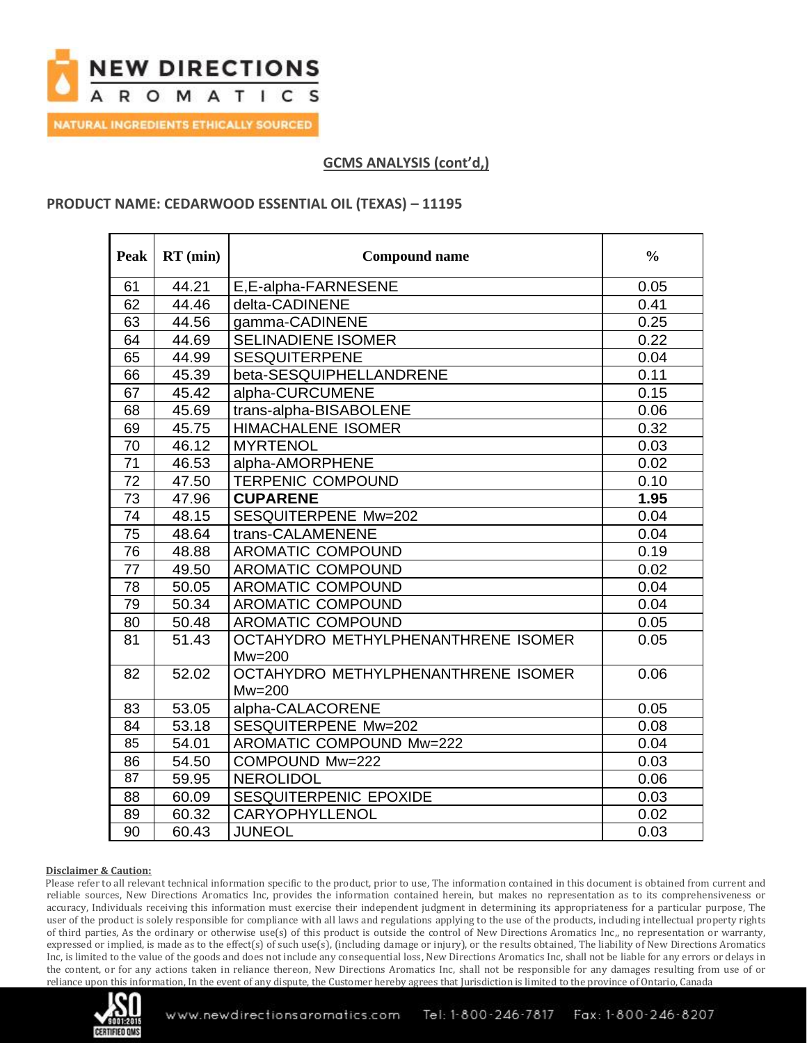

## **GCMS ANALYSIS (cont'd,)**

### **PRODUCT NAME: CEDARWOOD ESSENTIAL OIL (TEXAS) – 11195**

| Peak            | $RT$ (min) | <b>Compound name</b>                | $\frac{0}{0}$ |
|-----------------|------------|-------------------------------------|---------------|
| 61              | 44.21      | E,E-alpha-FARNESENE                 | 0.05          |
| 62              | 44.46      | delta-CADINENE                      | 0.41          |
| 63              | 44.56      | gamma-CADINENE                      | 0.25          |
| 64              | 44.69      | <b>SELINADIENE ISOMER</b>           | 0.22          |
| 65              | 44.99      | <b>SESQUITERPENE</b>                | 0.04          |
| 66              | 45.39      | beta-SESQUIPHELLANDRENE             | 0.11          |
| 67              | 45.42      | alpha-CURCUMENE                     | 0.15          |
| 68              | 45.69      | trans-alpha-BISABOLENE              | 0.06          |
| 69              | 45.75      | <b>HIMACHALENE ISOMER</b>           | 0.32          |
| 70              | 46.12      | <b>MYRTENOL</b>                     | 0.03          |
| 71              | 46.53      | alpha-AMORPHENE                     | 0.02          |
| 72              | 47.50      | <b>TERPENIC COMPOUND</b>            | 0.10          |
| 73              | 47.96      | <b>CUPARENE</b>                     | 1.95          |
| 74              | 48.15      | SESQUITERPENE Mw=202                | 0.04          |
| 75              | 48.64      | trans-CALAMENENE                    | 0.04          |
| $\overline{76}$ | 48.88      | AROMATIC COMPOUND                   | 0.19          |
| 77              | 49.50      | AROMATIC COMPOUND                   | 0.02          |
| 78              | 50.05      | AROMATIC COMPOUND                   | 0.04          |
| 79              | 50.34      | AROMATIC COMPOUND                   | 0.04          |
| 80              | 50.48      | AROMATIC COMPOUND                   | 0.05          |
| 81              | 51.43      | OCTAHYDRO METHYLPHENANTHRENE ISOMER | 0.05          |
|                 |            | $Mw = 200$                          |               |
| 82              | 52.02      | OCTAHYDRO METHYLPHENANTHRENE ISOMER | 0.06          |
|                 |            | $Mw = 200$                          |               |
| 83              | 53.05      | alpha-CALACORENE                    | 0.05          |
| 84              | 53.18      | SESQUITERPENE Mw=202                | 0.08          |
| 85              | 54.01      | AROMATIC COMPOUND Mw=222            | 0.04          |
| 86              | 54.50      | COMPOUND Mw=222                     | 0.03          |
| 87              | 59.95      | <b>NEROLIDOL</b>                    | 0.06          |
| 88              | 60.09      | SESQUITERPENIC EPOXIDE              | 0.03          |
| 89              | 60.32      | CARYOPHYLLENOL                      | 0.02          |
| 90              | 60.43      | <b>JUNEOL</b>                       | 0.03          |

#### **Disclaimer & Caution:**

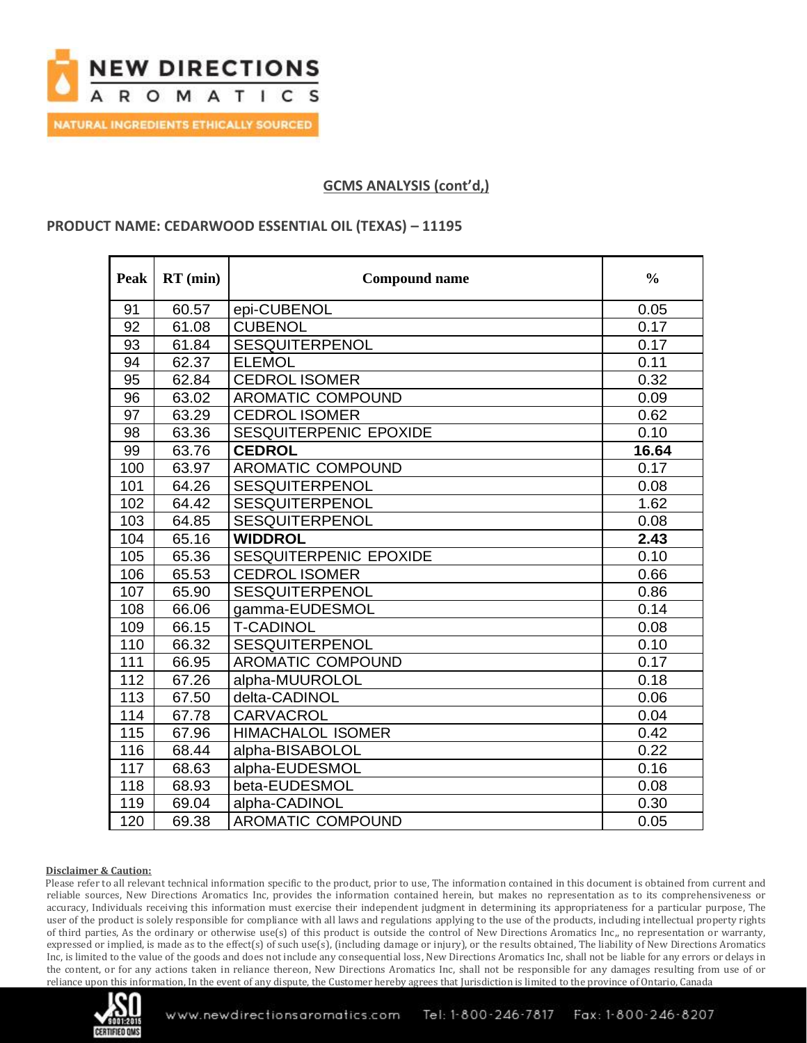

## **GCMS ANALYSIS (cont'd,)**

#### **PRODUCT NAME: CEDARWOOD ESSENTIAL OIL (TEXAS) – 11195**

| Peak | $RT$ (min) | <b>Compound name</b>     | $\frac{0}{0}$ |
|------|------------|--------------------------|---------------|
| 91   | 60.57      | epi-CUBENOL              | 0.05          |
| 92   | 61.08      | <b>CUBENOL</b>           | 0.17          |
| 93   | 61.84      | <b>SESQUITERPENOL</b>    | 0.17          |
| 94   | 62.37      | <b>ELEMOL</b>            | 0.11          |
| 95   | 62.84      | <b>CEDROL ISOMER</b>     | 0.32          |
| 96   | 63.02      | AROMATIC COMPOUND        | 0.09          |
| 97   | 63.29      | <b>CEDROL ISOMER</b>     | 0.62          |
| 98   | 63.36      | SESQUITERPENIC EPOXIDE   | 0.10          |
| 99   | 63.76      | <b>CEDROL</b>            | 16.64         |
| 100  | 63.97      | AROMATIC COMPOUND        | 0.17          |
| 101  | 64.26      | <b>SESQUITERPENOL</b>    | 0.08          |
| 102  | 64.42      | <b>SESQUITERPENOL</b>    | 1.62          |
| 103  | 64.85      | <b>SESQUITERPENOL</b>    | 0.08          |
| 104  | 65.16      | <b>WIDDROL</b>           | 2.43          |
| 105  | 65.36      | SESQUITERPENIC EPOXIDE   | 0.10          |
| 106  | 65.53      | <b>CEDROL ISOMER</b>     | 0.66          |
| 107  | 65.90      | SESQUITERPENOL           | 0.86          |
| 108  | 66.06      | gamma-EUDESMOL           | 0.14          |
| 109  | 66.15      | <b>T-CADINOL</b>         | 0.08          |
| 110  | 66.32      | <b>SESQUITERPENOL</b>    | 0.10          |
| 111  | 66.95      | AROMATIC COMPOUND        | 0.17          |
| 112  | 67.26      | alpha-MUUROLOL           | 0.18          |
| 113  | 67.50      | delta-CADINOL            | 0.06          |
| 114  | 67.78      | <b>CARVACROL</b>         | 0.04          |
| 115  | 67.96      | <b>HIMACHALOL ISOMER</b> | 0.42          |
| 116  | 68.44      | alpha-BISABOLOL          | 0.22          |
| 117  | 68.63      | alpha-EUDESMOL           | 0.16          |
| 118  | 68.93      | beta-EUDESMOL            | 0.08          |
| 119  | 69.04      | alpha-CADINOL            | 0.30          |
| 120  | 69.38      | <b>AROMATIC COMPOUND</b> | 0.05          |

#### **Disclaimer & Caution:**